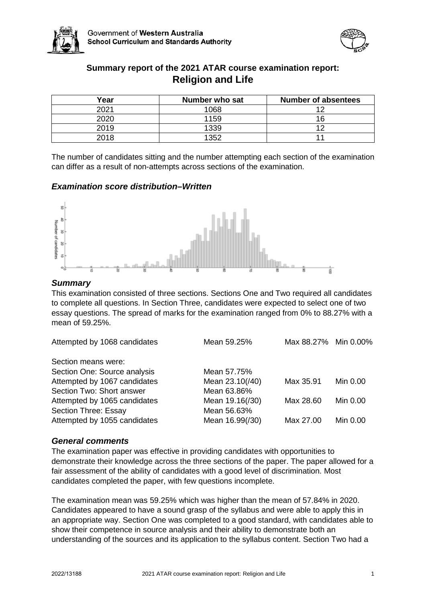



# **Summary report of the 2021 ATAR course examination report: Religion and Life**

| Year | Number who sat | <b>Number of absentees</b> |
|------|----------------|----------------------------|
| 2021 | 1068           | $\sim$                     |
| 2020 | 1159           |                            |
| 2019 | 1339           |                            |
| 2018 | 1352           |                            |

The number of candidates sitting and the number attempting each section of the examination can differ as a result of non-attempts across sections of the examination.

# *Examination score distribution–Written*



# *Summary*

This examination consisted of three sections. Sections One and Two required all candidates to complete all questions. In Section Three, candidates were expected to select one of two essay questions. The spread of marks for the examination ranged from 0% to 88.27% with a mean of 59.25%.

| Attempted by 1068 candidates | Mean 59.25%     | Max 88.27% Min 0.00% |          |
|------------------------------|-----------------|----------------------|----------|
| Section means were:          |                 |                      |          |
| Section One: Source analysis | Mean 57.75%     |                      |          |
| Attempted by 1067 candidates | Mean 23.10(/40) | Max 35.91            | Min 0.00 |
| Section Two: Short answer    | Mean 63.86%     |                      |          |
| Attempted by 1065 candidates | Mean 19.16(/30) | Max 28.60            | Min 0.00 |
| Section Three: Essay         | Mean 56.63%     |                      |          |
| Attempted by 1055 candidates | Mean 16.99(/30) | Max 27.00            | Min 0.00 |
|                              |                 |                      |          |

# *General comments*

The examination paper was effective in providing candidates with opportunities to demonstrate their knowledge across the three sections of the paper. The paper allowed for a fair assessment of the ability of candidates with a good level of discrimination. Most candidates completed the paper, with few questions incomplete.

The examination mean was 59.25% which was higher than the mean of 57.84% in 2020. Candidates appeared to have a sound grasp of the syllabus and were able to apply this in an appropriate way. Section One was completed to a good standard, with candidates able to show their competence in source analysis and their ability to demonstrate both an understanding of the sources and its application to the syllabus content. Section Two had a